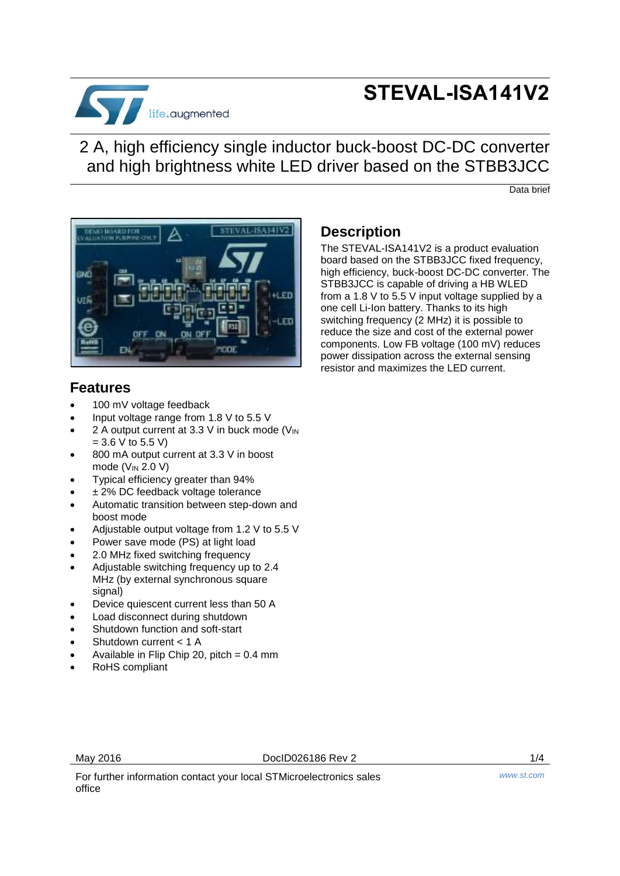

# **STEVAL-ISA141V2**

2 A, high efficiency single inductor buck-boost DC-DC converter and high brightness white LED driver based on the STBB3JCC

Data brief



## **Features**

- 100 mV voltage feedback
- Input voltage range from 1.8 V to 5.5 V
- 2 A output current at 3.3 V in buck mode  $(V_{IN})$  $= 3.6 V$  to 5.5 V)
- 800 mA output current at 3.3 V in boost mode  $(V_{IN} 2.0 V)$
- Typical efficiency greater than 94%
- ± 2% DC feedback voltage tolerance
- Automatic transition between step-down and boost mode
- Adjustable output voltage from 1.2 V to 5.5 V
- Power save mode (PS) at light load
- 2.0 MHz fixed switching frequency
- Adjustable switching frequency up to 2.4 MHz (by external synchronous square signal)
- Device quiescent current less than 50 A
- Load disconnect during shutdown
- Shutdown function and soft-start
- Shutdown current < 1 A
- Available in Flip Chip 20, pitch  $= 0.4$  mm
- RoHS compliant

## **Description**

The STEVAL-ISA141V2 is a product evaluation board based on the STBB3JCC fixed frequency, high efficiency, buck-boost DC-DC converter. The STBB3JCC is capable of driving a HB WLED from a 1.8 V to 5.5 V input voltage supplied by a one cell Li-Ion battery. Thanks to its high switching frequency (2 MHz) it is possible to reduce the size and cost of the external power components. Low FB voltage (100 mV) reduces power dissipation across the external sensing resistor and maximizes the LED current.

For further information contact your local STMicroelectronics sales office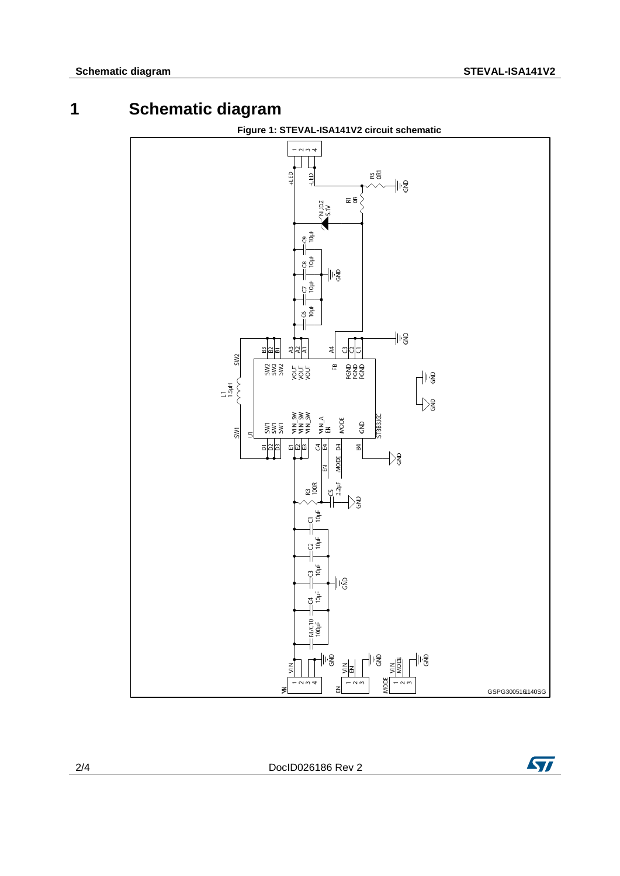



2/4 DocID026186 Rev 2

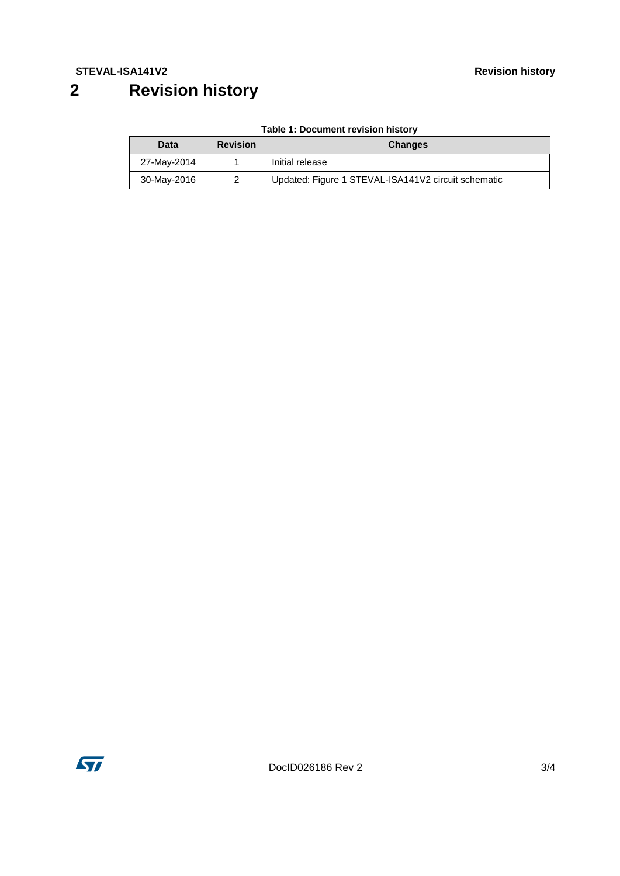## **2 Revision history**

| Data        | <b>Revision</b> | <b>Changes</b>                                      |
|-------------|-----------------|-----------------------------------------------------|
| 27-May-2014 |                 | Initial release                                     |
| 30-May-2016 | 2               | Updated: Figure 1 STEVAL-ISA141V2 circuit schematic |

### **Table 1: Document revision history**